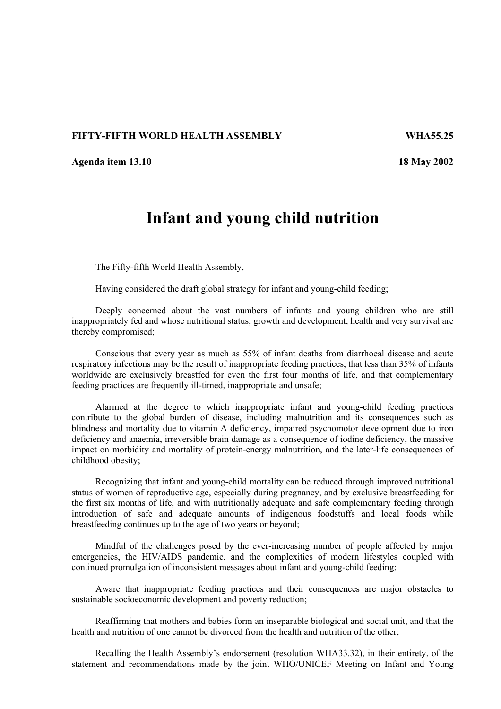## **FIFTY-FIFTH WORLD HEALTH ASSEMBLY WHA55.25**

**Agenda item 13.10 18 May 2002** 

## **Infant and young child nutrition**

The Fifty-fifth World Health Assembly,

Having considered the draft global strategy for infant and young-child feeding;

Deeply concerned about the vast numbers of infants and young children who are still inappropriately fed and whose nutritional status, growth and development, health and very survival are thereby compromised;

Conscious that every year as much as 55% of infant deaths from diarrhoeal disease and acute respiratory infections may be the result of inappropriate feeding practices, that less than 35% of infants worldwide are exclusively breastfed for even the first four months of life, and that complementary feeding practices are frequently ill-timed, inappropriate and unsafe;

Alarmed at the degree to which inappropriate infant and young-child feeding practices contribute to the global burden of disease, including malnutrition and its consequences such as blindness and mortality due to vitamin A deficiency, impaired psychomotor development due to iron deficiency and anaemia, irreversible brain damage as a consequence of iodine deficiency, the massive impact on morbidity and mortality of protein-energy malnutrition, and the later-life consequences of childhood obesity;

Recognizing that infant and young-child mortality can be reduced through improved nutritional status of women of reproductive age, especially during pregnancy, and by exclusive breastfeeding for the first six months of life, and with nutritionally adequate and safe complementary feeding through introduction of safe and adequate amounts of indigenous foodstuffs and local foods while breastfeeding continues up to the age of two years or beyond;

Mindful of the challenges posed by the ever-increasing number of people affected by major emergencies, the HIV/AIDS pandemic, and the complexities of modern lifestyles coupled with continued promulgation of inconsistent messages about infant and young-child feeding;

Aware that inappropriate feeding practices and their consequences are major obstacles to sustainable socioeconomic development and poverty reduction;

Reaffirming that mothers and babies form an inseparable biological and social unit, and that the health and nutrition of one cannot be divorced from the health and nutrition of the other;

Recalling the Health Assembly's endorsement (resolution WHA33.32), in their entirety, of the statement and recommendations made by the joint WHO/UNICEF Meeting on Infant and Young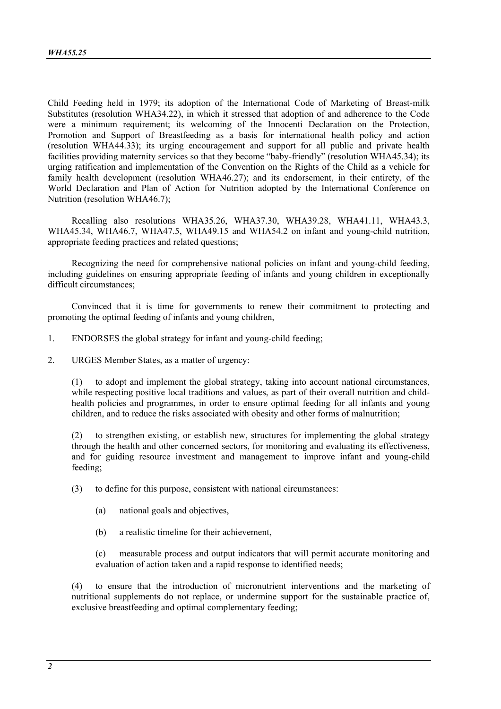Child Feeding held in 1979; its adoption of the International Code of Marketing of Breast-milk Substitutes (resolution WHA34.22), in which it stressed that adoption of and adherence to the Code were a minimum requirement; its welcoming of the Innocenti Declaration on the Protection, Promotion and Support of Breastfeeding as a basis for international health policy and action (resolution WHA44.33); its urging encouragement and support for all public and private health facilities providing maternity services so that they become "baby-friendly" (resolution WHA45.34); its urging ratification and implementation of the Convention on the Rights of the Child as a vehicle for family health development (resolution WHA46.27); and its endorsement, in their entirety, of the World Declaration and Plan of Action for Nutrition adopted by the International Conference on Nutrition (resolution WHA46.7);

Recalling also resolutions WHA35.26, WHA37.30, WHA39.28, WHA41.11, WHA43.3, WHA45.34, WHA46.7, WHA47.5, WHA49.15 and WHA54.2 on infant and young-child nutrition, appropriate feeding practices and related questions;

Recognizing the need for comprehensive national policies on infant and young-child feeding, including guidelines on ensuring appropriate feeding of infants and young children in exceptionally difficult circumstances;

Convinced that it is time for governments to renew their commitment to protecting and promoting the optimal feeding of infants and young children,

- 1. ENDORSES the global strategy for infant and young-child feeding;
- 2. URGES Member States, as a matter of urgency:

(1) to adopt and implement the global strategy, taking into account national circumstances, while respecting positive local traditions and values, as part of their overall nutrition and childhealth policies and programmes, in order to ensure optimal feeding for all infants and young children, and to reduce the risks associated with obesity and other forms of malnutrition;

(2) to strengthen existing, or establish new, structures for implementing the global strategy through the health and other concerned sectors, for monitoring and evaluating its effectiveness, and for guiding resource investment and management to improve infant and young-child feeding;

(3) to define for this purpose, consistent with national circumstances:

- (a) national goals and objectives,
- (b) a realistic timeline for their achievement,

(c) measurable process and output indicators that will permit accurate monitoring and evaluation of action taken and a rapid response to identified needs;

(4) to ensure that the introduction of micronutrient interventions and the marketing of nutritional supplements do not replace, or undermine support for the sustainable practice of, exclusive breastfeeding and optimal complementary feeding;